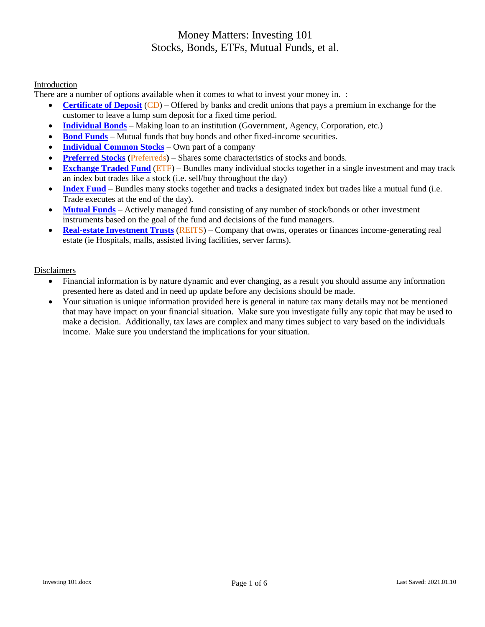#### Introduction

There are a number of options available when it comes to what to invest your money in. :

- **[Certificate of Deposit](https://www.investopedia.com/terms/c/certificateofdeposit.asp)** (CD) Offered by banks and credit unions that pays a premium in exchange for the customer to leave a lump sum deposit for a fixed time period.
- **[Individual Bonds](https://www.investopedia.com/terms/b/bond.asp)** Making loan to an institution (Government, Agency, Corporation, etc.)
- **[Bond Funds](https://www.investopedia.com/terms/b/bondfund.asp)** Mutual funds that buy bonds and other fixed-income securities.
- **[Individual](https://www.investopedia.com/terms/c/common-stock-fund.asp) Common Stocks** Own part of a company
- **[Preferred Stocks](https://www.investopedia.com/terms/p/preferredstock.asp) (**Preferreds**)** Shares some characteristics of stocks and bonds.
- **[Exchange Traded Fund](https://www.investopedia.com/terms/s/stock-etf.asp)** (ETF) Bundles many individual stocks together in a single investment and may track an index but trades like a stock (i.e. sell/buy throughout the day)
- **[Index Fund](https://www.investopedia.com/terms/i/indexfund.asp)** Bundles many stocks together and tracks a designated index but trades like a mutual fund (i.e. Trade executes at the end of the day).
- **[Mutual Funds](https://www.investopedia.com/terms/m/mutualfund.asp)** Actively managed fund consisting of any number of stock/bonds or other investment instruments based on the goal of the fund and decisions of the fund managers.
- **[Real-estate Investment Trusts](https://www.investopedia.com/terms/r/reit.asp)** (REITS) Company that owns, operates or finances income-generating real estate (ie Hospitals, malls, assisted living facilities, server farms).

#### **Disclaimers**

- Financial information is by nature dynamic and ever changing, as a result you should assume any information presented here as dated and in need up update before any decisions should be made.
- Your situation is unique information provided here is general in nature tax many details may not be mentioned that may have impact on your financial situation. Make sure you investigate fully any topic that may be used to make a decision. Additionally, tax laws are complex and many times subject to vary based on the individuals income. Make sure you understand the implications for your situation.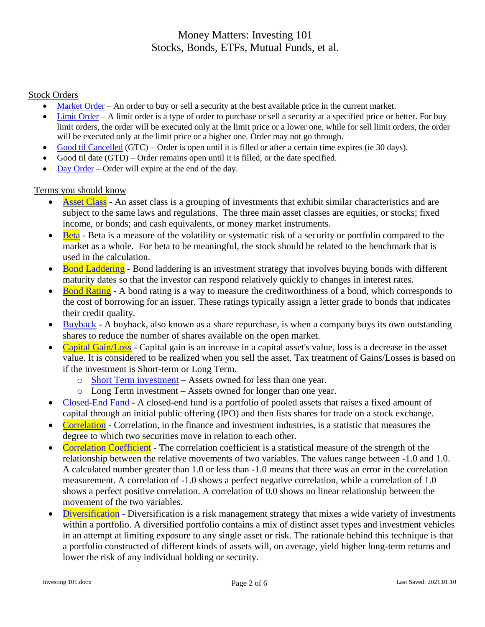### Stock Orders

- $\bullet$  [Market Order](https://www.investopedia.com/terms/m/marketorder.asp) An order to buy or sell a security at the best available price in the current market.
- [Limit Order](https://www.investopedia.com/terms/l/limitorder.asp) A limit order is a type of order to purchase or sell a security at a specified price or better. For buy limit orders, the order will be executed only at the limit price or a lower one, while for sell limit orders, the order will be executed only at the limit price or a higher one. Order may not go through.
- [Good til Cancelled](https://www.investopedia.com/terms/g/gtc.asp) (GTC) Order is open until it is filled or after a certain time expires (ie 30 days).
- Good til date (GTD) Order remains open until it is filled, or the date specified.
- [Day Order](https://www.investopedia.com/terms/d/dayorder.asp) Order will expire at the end of the day.

### Terms you should know

- [Asset Class](https://www.investopedia.com/terms/a/assetclasses.asp) An asset class is a grouping of investments that exhibit similar characteristics and are subject to the same laws and regulations. The three main asset classes are equities, or stocks; fixed income, or bonds; and cash equivalents, or money market instruments.
- [Beta](https://www.investopedia.com/terms/b/beta.asp) Beta is a measure of the volatility or systematic risk of a security or portfolio compared to the market as a whole. For beta to be meaningful, the stock should be related to the benchmark that is used in the calculation.
- [Bond Laddering](https://www.investopedia.com/terms/b/bondladdering.asp) Bond laddering is an investment strategy that involves buying bonds with different maturity dates so that the investor can respond relatively quickly to changes in interest rates.
- [Bond Rating](https://www.investopedia.com/terms/b/bondrating.asp) A bond rating is a way to measure the creditworthiness of a bond, which corresponds to the cost of borrowing for an issuer. These ratings typically assign a letter grade to bonds that indicates their credit quality.
- [Buyback](https://www.investopedia.com/terms/b/buyback.asp) A buyback, also known as a share repurchase, is when a company buys its own outstanding shares to reduce the number of shares available on the open market.
- [Capital Gain/Loss](https://www.investopedia.com/terms/c/capitalgain.asp) Capital gain is an increase in a capital asset's value, loss is a decrease in the asset value. It is considered to be realized when you sell the asset. Tax treatment of Gains/Losses is based on if the investment is Short-term or Long Term.
	- o [Short Term investment](https://www.investopedia.com/terms/s/shortterm.asp) Assets owned for less than one year.
	- o Long Term investment Assets owned for longer than one year.
- [Closed-End Fund](https://www.investopedia.com/terms/c/closed-endinvestment.asp) A closed-end fund is a portfolio of pooled assets that raises a fixed amount of capital through an initial public offering (IPO) and then lists shares for trade on a stock exchange.
- [Correlation](https://www.investopedia.com/terms/c/correlation.asp) Correlation, in the finance and investment industries, is a statistic that measures the degree to which two securities move in relation to each other.
- [Correlation Coefficient](https://www.investopedia.com/terms/c/correlationcoefficient.asp) The correlation coefficient is a statistical measure of the strength of the relationship between the relative movements of two variables. The values range between -1.0 and 1.0. A calculated number greater than 1.0 or less than -1.0 means that there was an error in the correlation measurement. A correlation of -1.0 shows a perfect negative correlation, while a correlation of 1.0 shows a perfect positive correlation. A correlation of 0.0 shows no linear relationship between the movement of the two variables.
- [Diversification](https://www.investopedia.com/terms/d/diversification.asp) Diversification is a risk management strategy that mixes a wide variety of investments within a portfolio. A diversified portfolio contains a mix of distinct asset types and investment vehicles in an attempt at limiting exposure to any single asset or risk. The rationale behind this technique is that a portfolio constructed of different kinds of assets will, on average, yield higher long-term returns and lower the risk of any individual holding or security.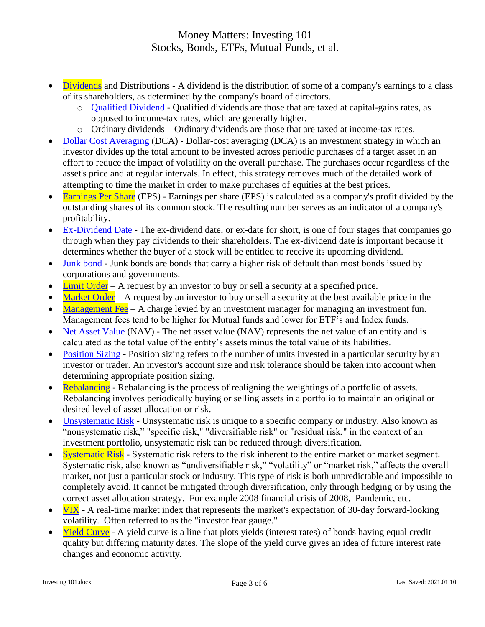- [Dividends](https://www.investopedia.com/terms/d/dividend.asp) and Distributions A dividend is the distribution of some of a company's earnings to a class of its shareholders, as determined by the company's board of directors.
	- o [Qualified Dividend](https://www.investopedia.com/terms/q/qualifieddividend.asp) Qualified dividends are those that are taxed at capital-gains rates, as opposed to income-tax rates, which are generally higher.
	- o Ordinary dividends Ordinary dividends are those that are taxed at income-tax rates.
- [Dollar Cost Averaging](https://www.investopedia.com/terms/d/dollarcostaveraging.asp) (DCA) Dollar-cost averaging (DCA) is an investment strategy in which an investor divides up the total amount to be invested across periodic purchases of a target asset in an effort to reduce the impact of volatility on the overall purchase. The purchases occur regardless of the asset's price and at regular intervals. In effect, this strategy removes much of the detailed work of attempting to time the market in order to make purchases of equities at the best prices.
- [Earnings Per Share](https://www.investopedia.com/terms/e/eps.asp) (EPS) Earnings per share (EPS) is calculated as a company's profit divided by the outstanding shares of its common stock. The resulting number serves as an indicator of a company's profitability.
- [Ex-Dividend Date](https://www.investopedia.com/terms/e/ex-date.asp) The ex-dividend date, or ex-date for short, is one of four stages that companies go through when they pay dividends to their shareholders. The ex-dividend date is important because it determines whether the buyer of a stock will be entitled to receive its upcoming dividend.
- [Junk bond](https://www.investopedia.com/terms/j/junkbond.asp) Junk bonds are bonds that carry a higher risk of default than most bonds issued by corporations and governments.
- $\bullet$  [Limit Order](https://www.investopedia.com/terms/l/limitorder.asp) A request by an investor to buy or sell a security at a specified price.
- [Market Order](https://www.investopedia.com/terms/m/marketorder.asp) A request by an investor to buy or sell a security at the best available price in the
- [Management Fee](https://www.investopedia.com/terms/m/managementfee.asp) A charge levied by an investment manager for managing an investment fun. Management fees tend to be higher for Mutual funds and lower for ETF's and Index funds.
- [Net Asset Value](https://www.investopedia.com/terms/n/nav.asp) (NAV) The net asset value (NAV) represents the net value of an entity and is calculated as the total value of the entity's assets minus the total value of its liabilities.
- [Position Sizing](https://www.investopedia.com/terms/p/positionsizing.asp) Position sizing refers to the number of units invested in a particular security by an investor or trader. An investor's account size and risk tolerance should be taken into account when determining appropriate position sizing.
- [Rebalancing](https://www.investopedia.com/terms/r/rebalancing.asp) Rebalancing is the process of realigning the weightings of a portfolio of assets. Rebalancing involves periodically buying or selling assets in a portfolio to maintain an original or desired level of asset allocation or risk.
- [Unsystematic Risk](https://www.investopedia.com/terms/u/unsystematicrisk.asp) Unsystematic risk is unique to a specific company or industry. Also known as "nonsystematic risk," "specific risk," "diversifiable risk" or "residual risk," in the context of an investment portfolio, unsystematic risk can be reduced through diversification.
- [Systematic Risk](https://www.investopedia.com/terms/s/systematicrisk.asp) Systematic risk refers to the risk inherent to the entire market or market segment. Systematic risk, also known as "undiversifiable risk," "volatility" or "market risk," affects the overall market, not just a particular stock or industry. This type of risk is both unpredictable and impossible to completely avoid. It cannot be mitigated through diversification, only through hedging or by using the correct asset allocation strategy. For example 2008 financial crisis of 2008, Pandemic, etc.
- $\bullet$  [VIX](https://www.investopedia.com/terms/v/vix.asp) A real-time market index that represents the market's expectation of 30-day forward-looking volatility. Often referred to as the "investor fear gauge."
- [Yield Curve](https://www.investopedia.com/terms/y/yieldcurve.asp) A yield curve is a line that plots yields (interest rates) of bonds having equal credit quality but differing maturity dates. The slope of the yield curve gives an idea of future interest rate changes and economic activity.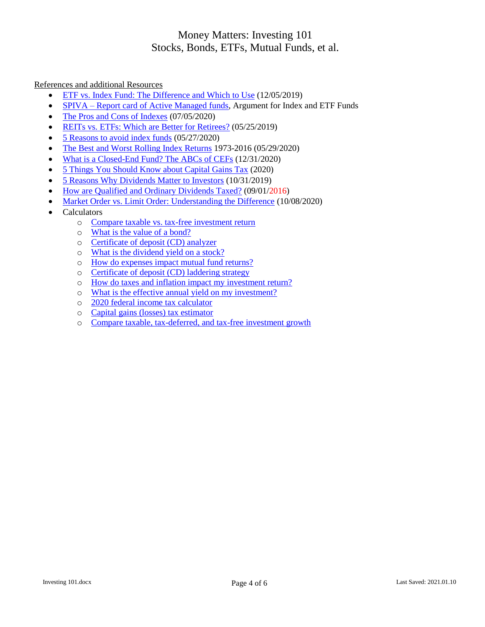### References and additional Resources

- [ETF vs. Index Fund: The Difference and Which to Use](https://money.usnews.com/investing/investing-101/articles/etf-vs-index-fund-the-difference-and-which-to-use) (12/05/2019)
- SPIVA [Report card of Active Managed funds,](https://us.spindices.com/spiva/#/about) Argument for Index and ETF Funds
- [The Pros and Cons of Indexes](https://www.investopedia.com/articles/investing/011316/pros-and-cons-indexes.asp) (07/05/2020)
- [REITs vs. ETFs: Which are Better for Retirees?](https://www.investopedia.com/articles/investing/040116/reits-vs-etfs-which-are-better-retirees.asp) (05/25/2019)
- [5 Reasons to avoid index funds](https://www.investopedia.com/articles/stocks/09/reasons-to-avoid-index-funds.asp) (05/27/2020)
- [The Best and Worst Rolling Index Returns](https://www.thebalance.com/rolling-index-returns-4061795) 1973-2016 (05/29/2020)
- [What is a Closed-End Fund? The ABCs of CEFs](https://www.kiplinger.com/investing/602012/what-is-a-closed-end-fund-abcs-of-cefs) (12/31/2020)
- [5 Things You Should Know about Capital Gains Tax](https://turbotax.intuit.com/tax-tips/investments-and-taxes/5-things-you-should-know-about-capital-gains-tax/L0m06D9lI) (2020)
- [5 Reasons Why Dividends Matter to Investors](https://www.investopedia.com/articles/investing/091015/5-reasons-why-dividends-matter-investors.asp) (10/31/2019)
- [How are Qualified and Ordinary Dividends Taxed?](https://www.investopedia.com/articles/taxes/090116/how-are-qualified-and-nonqualified-dividends-taxed.asp) (09/01/2016)
- [Market Order vs. Limit Order: Understanding the Difference](https://www.investopedia.com/ask/answers/100314/whats-difference-between-market-order-and-limit-order.asp) (10/08/2020)
- Calculators
	- o [Compare taxable vs. tax-free investment return](https://www.calcxml.com/do/inv02?lang=en)
	- o [What is the value of a bond?](https://www.calcxml.com/do/inv03?lang=en)
	- o [Certificate of deposit \(CD\) analyzer](https://www.calcxml.com/do/inv10?lang=en)
	- o [What is the dividend yield on a stock?](https://www.calcxml.com/calculators/what-is-the-dividend-yield-on-a-stock?lang=en)
	- o [How do expenses impact mutual fund returns?](https://www.calcxml.com/do/inv12?lang=en)
	- o [Certificate of deposit \(CD\) laddering strategy](https://www.calcxml.com/calculators/certificate-of-deposit-cd-laddering-strategy?lang=en)
	- o [How do taxes and inflation impact my](https://www.calcxml.com/calculators/investment-return?lang=en) investment return?
	- o [What is the effective annual yield on my investment?](https://www.calcxml.com/calculators/annual-yield?lang=en)
	- o [2020 federal income tax calculator](https://www.calcxml.com/calculators/federal-income-tax-calculator?lang=en)
	- o [Capital gains \(losses\) tax estimator](https://www.calcxml.com/do/inc06?lang=en)
	- o [Compare taxable, tax-deferred, and tax-free investment growth](https://www.calcxml.com/do/inc07?lang=en)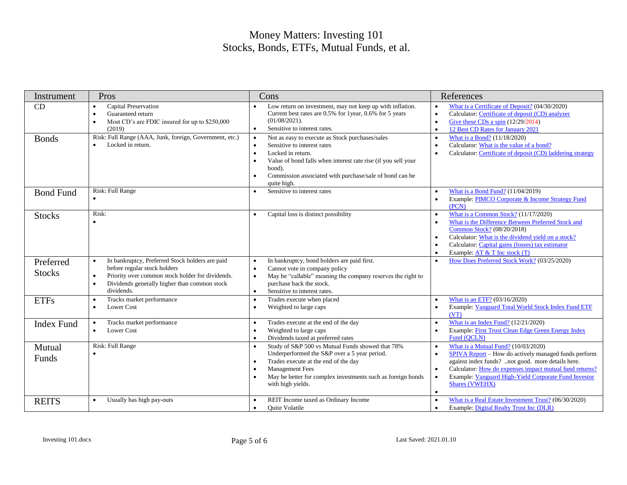| Instrument                 | Pros                                                                                                                                                                                                                                     | Cons                                                                                                                                                                                                                                                                                            | References                                                                                                                                                                                                                                                                                                                                       |
|----------------------------|------------------------------------------------------------------------------------------------------------------------------------------------------------------------------------------------------------------------------------------|-------------------------------------------------------------------------------------------------------------------------------------------------------------------------------------------------------------------------------------------------------------------------------------------------|--------------------------------------------------------------------------------------------------------------------------------------------------------------------------------------------------------------------------------------------------------------------------------------------------------------------------------------------------|
| CD                         | <b>Capital Preservation</b><br>$\bullet$<br>Guaranteed return<br>$\bullet$<br>Most CD's are FDIC insured for up to \$250,000<br>$\bullet$<br>(2019)                                                                                      | Low return on investment, may not keep up with inflation.<br>Current best rates are 0.5% for 1year, 0.6% for 5 years<br>$(01/08/2021)$ .<br>Sensitive to interest rates.<br>$\bullet$                                                                                                           | What is a Certificate of Deposit? (04/30/2020)<br>Calculator: Certificate of deposit (CD) analyzer<br>$\bullet$<br>Give these CDs a spin $(12/29/2014)$<br>12 Best CD Rates for January 2021<br>$\bullet$                                                                                                                                        |
| <b>Bonds</b>               | Risk: Full Range (AAA, Junk, foreign, Government, etc.)<br>Locked in return.                                                                                                                                                             | Not as easy to execute as Stock purchases/sales<br>$\bullet$<br>Sensitive to interest rates<br>Locked in return.<br>$\bullet$<br>Value of bond falls when interest rate rise (if you sell your<br>$\bullet$<br>bond).<br>Commission associated with purchase/sale of bond can be<br>quite high. | What is a Bond? (11/18/2020)<br>$\bullet$<br>Calculator: What is the value of a bond?<br>Calculator: Certificate of deposit (CD) laddering strategy                                                                                                                                                                                              |
| <b>Bond Fund</b>           | Risk: Full Range<br>$\bullet$                                                                                                                                                                                                            | Sensitive to interest rates<br>$\bullet$                                                                                                                                                                                                                                                        | What is a Bond Fund? (11/04/2019)<br>Example: PIMCO Corporate & Income Strategy Fund<br>$\bullet$<br>(PCN)                                                                                                                                                                                                                                       |
| <b>Stocks</b>              | Risk:                                                                                                                                                                                                                                    | Capital loss is distinct possibility                                                                                                                                                                                                                                                            | What is a Common Stock? (11/17/2020)<br>What is the Difference Between Preferred Stock and<br>Common Stock? (08/20/2018)<br>Calculator: What is the dividend yield on a stock?<br>Calculator: Capital gains (losses) tax estimator<br>Example: $AT \& T$ Inc stock $(T)$<br>$\bullet$                                                            |
| Preferred<br><b>Stocks</b> | In bankruptcy, Preferred Stock holders are paid<br>$\bullet$<br>before regular stock holders<br>Priority over common stock holder for dividends.<br>$\bullet$<br>Dividends generally higher than common stock<br>$\bullet$<br>dividends. | In bankruptcy, bond holders are paid first.<br>$\bullet$<br>Cannot vote in company policy<br>$\bullet$<br>May be "callable" meaning the company reserves the right to<br>$\bullet$<br>purchase back the stock.<br>Sensitive to interest rates.<br>$\bullet$                                     | How Does Preferred Stock Work? (03/25/2020)                                                                                                                                                                                                                                                                                                      |
| <b>ETFs</b>                | Tracks market performance<br>$\bullet$<br>Lower Cost<br>$\bullet$                                                                                                                                                                        | Trades execute when placed<br>Weighted to large caps<br>$\bullet$                                                                                                                                                                                                                               | What is an ETF? (03/16/2020)<br>Example: Vanguard Total World Stock Index Fund ETF<br>(VT)                                                                                                                                                                                                                                                       |
| <b>Index Fund</b>          | Tracks market performance<br>$\bullet$<br><b>Lower Cost</b><br>$\bullet$                                                                                                                                                                 | Trades execute at the end of the day<br>Weighted to large caps<br>Dividends taxed at preferred rates<br>$\bullet$                                                                                                                                                                               | What is an Index Fund? (12/21/2020)<br>Example: First Trust Clean Edge Green Energy Index<br>Fund (QCLN)                                                                                                                                                                                                                                         |
| Mutual<br>Funds            | Risk: Full Range<br>$\bullet$                                                                                                                                                                                                            | Study of S&P 500 vs Mutual Funds showed that 78%<br>$\bullet$<br>Underperformed the S&P over a 5 year period.<br>Trades execute at the end of the day<br>$\bullet$<br><b>Management Fees</b><br>May be better for complex investments such as foreign bonds<br>$\bullet$<br>with high yields.   | What is a Mutual Fund? (10/03/2020)<br>$\bullet$<br>SPIVA Report – How do actively managed funds perform<br>$\bullet$<br>against index funds? not good. more details here.<br>Calculator: How do expenses impact mutual fund returns?<br>$\bullet$<br>Example: Vanguard High-Yield Corporate Fund Investor<br><b>Shares (VWEHX)</b><br>$\bullet$ |
| <b>REITS</b>               | Usually has high pay-outs<br>$\bullet$                                                                                                                                                                                                   | REIT Income taxed as Ordinary Income<br><b>Ouite Volatile</b>                                                                                                                                                                                                                                   | What is a Real Estate Investment Trust? (06/30/2020)<br>Example: Digital Realty Trust Inc (DLR)<br>$\bullet$                                                                                                                                                                                                                                     |